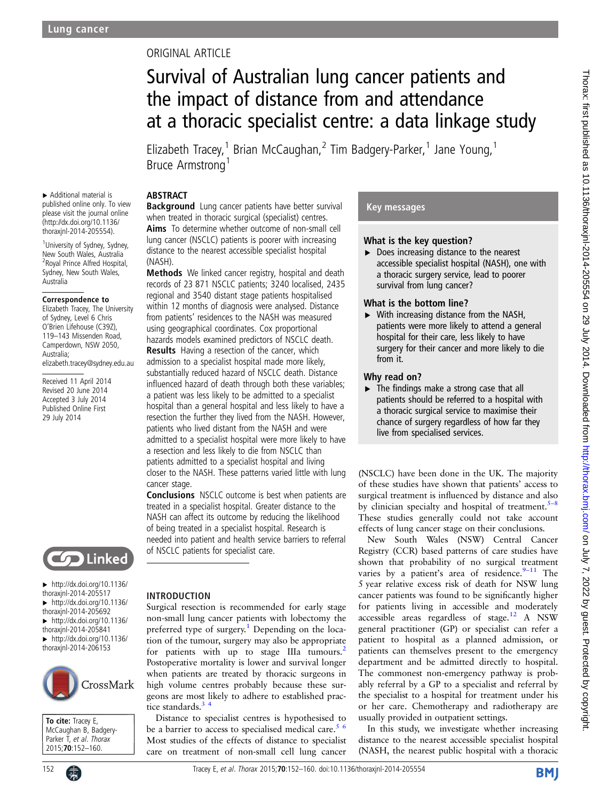# ORIGINAL ARTICLE

# Survival of Australian lung cancer patients and the impact of distance from and attendance at a thoracic specialist centre: a data linkage study

Elizabeth Tracey,<sup>1</sup> Brian McCaughan,<sup>2</sup> Tim Badgery-Parker,<sup>1</sup> Jane Young,<sup>1</sup> Bruce Armstrong<sup>1</sup>

# ABSTRACT

▸ Additional material is published online only. To view please visit the journal online [\(http://dx.doi.org/10.1136/](http://dx.doi.org/10.1136/thoraxjnl-2014-205554) [thoraxjnl-2014-205554\)](http://dx.doi.org/10.1136/thoraxjnl-2014-205554).

<sup>1</sup>University of Sydney, Sydney, New South Wales, Australia <sup>2</sup> Royal Prince Alfred Hospital, Sydney, New South Wales, Australia

#### Correspondence to

Elizabeth Tracey, The University of Sydney, Level 6 Chris O'Brien Lifehouse (C39Z), 119–143 Missenden Road, Camperdown, NSW 2050, Australia; elizabeth.tracey@sydney.edu.au

Received 11 April 2014 Revised 20 June 2014 Accepted 3 July 2014 Published Online First 29 July 2014



▸ [http://dx.doi.org/10.1136/](http://dx.doi.org/10.1136/thoraxjnl-2014-205517) [thoraxjnl-2014-205517](http://dx.doi.org/10.1136/thoraxjnl-2014-205517) ▸ [http://dx.doi.org/10.1136/](http://dx.doi.org/10.1136/thoraxjnl-2014-205692) [thoraxjnl-2014-205692](http://dx.doi.org/10.1136/thoraxjnl-2014-205692) ▸ [http://dx.doi.org/10.1136/](http://dx.doi.org/10.1136/thoraxjnl-2014-205841) [thoraxjnl-2014-205841](http://dx.doi.org/10.1136/thoraxjnl-2014-205841)  $\blacktriangleright$  [http://dx.doi.org/10.1136/](http://dx.doi.org/10.1136/thoraxjnl-2014-206153) [thoraxjnl-2014-206153](http://dx.doi.org/10.1136/thoraxjnl-2014-206153)



To cite: Tracey E, McCaughan B, Badgery-Parker T, et al. Thorax 2015;70:152–160.

# Background Lung cancer patients have better survival when treated in thoracic surgical (specialist) centres. Aims To determine whether outcome of non-small cell lung cancer (NSCLC) patients is poorer with increasing distance to the nearest accessible specialist hospital (NASH).

Methods We linked cancer registry, hospital and death records of 23 871 NSCLC patients; 3240 localised, 2435 regional and 3540 distant stage patients hospitalised within 12 months of diagnosis were analysed. Distance from patients' residences to the NASH was measured using geographical coordinates. Cox proportional hazards models examined predictors of NSCLC death. Results Having a resection of the cancer, which admission to a specialist hospital made more likely, substantially reduced hazard of NSCLC death. Distance influenced hazard of death through both these variables; a patient was less likely to be admitted to a specialist hospital than a general hospital and less likely to have a resection the further they lived from the NASH. However, patients who lived distant from the NASH and were admitted to a specialist hospital were more likely to have a resection and less likely to die from NSCLC than patients admitted to a specialist hospital and living closer to the NASH. These patterns varied little with lung cancer stage.

Conclusions NSCLC outcome is best when patients are treated in a specialist hospital. Greater distance to the NASH can affect its outcome by reducing the likelihood of being treated in a specialist hospital. Research is needed into patient and health service barriers to referral of NSCLC patients for specialist care.

#### INTRODUCTION

Surgical resection is recommended for early stage non-small lung cancer patients with lobectomy the preferred type of surgery.<sup>[1](#page-7-0)</sup> Depending on the location of the tumour, surgery may also be appropriate for patients with up to stage IIIa tumours.<sup>[2](#page-7-0)</sup> Postoperative mortality is lower and survival longer when patients are treated by thoracic surgeons in high volume centres probably because these surgeons are most likely to adhere to established practice standards. $34$ 

Distance to specialist centres is hypothesised to be a barrier to access to specialised medical care.<sup>[5 6](#page-7-0)</sup> Most studies of the effects of distance to specialist care on treatment of non-small cell lung cancer

# Key messages

# What is the key question?

▶ Does increasing distance to the nearest accessible specialist hospital (NASH), one with a thoracic surgery service, lead to poorer survival from lung cancer?

# What is the bottom line?

 $\triangleright$  With increasing distance from the NASH, patients were more likely to attend a general hospital for their care, less likely to have surgery for their cancer and more likely to die from it.

# Why read on?

 $\triangleright$  The findings make a strong case that all patients should be referred to a hospital with a thoracic surgical service to maximise their chance of surgery regardless of how far they live from specialised services.

(NSCLC) have been done in the UK. The majority of these studies have shown that patients' access to surgical treatment is influenced by distance and also by clinician specialty and hospital of treatment. $5-8$ These studies generally could not take account effects of lung cancer stage on their conclusions.

New South Wales (NSW) Central Cancer Registry (CCR) based patterns of care studies have shown that probability of no surgical treatment varies by a patient's area of residence. $9-11$  $9-11$  The 5 year relative excess risk of death for NSW lung cancer patients was found to be significantly higher for patients living in accessible and moderately accessible areas regardless of stage.<sup>[12](#page-7-0)</sup> A NSW general practitioner (GP) or specialist can refer a patient to hospital as a planned admission, or patients can themselves present to the emergency department and be admitted directly to hospital. The commonest non-emergency pathway is probably referral by a GP to a specialist and referral by the specialist to a hospital for treatment under his or her care. Chemotherapy and radiotherapy are usually provided in outpatient settings.

In this study, we investigate whether increasing distance to the nearest accessible specialist hospital (NASH, the nearest public hospital with a thoracic

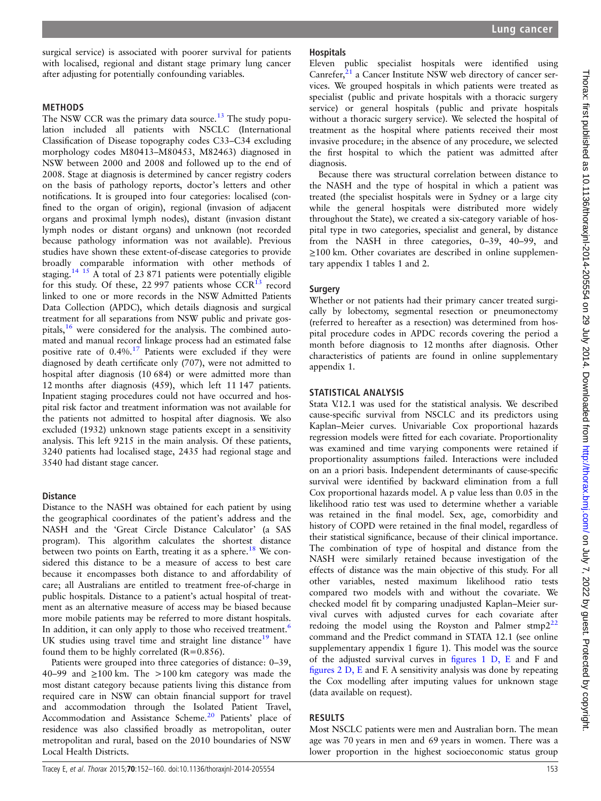surgical service) is associated with poorer survival for patients with localised, regional and distant stage primary lung cancer after adjusting for potentially confounding variables.

# **METHODS**

The NSW CCR was the primary data source.<sup>[13](#page-7-0)</sup> The study population included all patients with NSCLC (International Classification of Disease topography codes C33–C34 excluding morphology codes M80413–M80453, M82463) diagnosed in NSW between 2000 and 2008 and followed up to the end of 2008. Stage at diagnosis is determined by cancer registry coders on the basis of pathology reports, doctor's letters and other notifications. It is grouped into four categories: localised (confined to the organ of origin), regional (invasion of adjacent organs and proximal lymph nodes), distant (invasion distant lymph nodes or distant organs) and unknown (not recorded because pathology information was not available). Previous studies have shown these extent-of-disease categories to provide broadly comparable information with other methods of staging.<sup>[14 15](#page-7-0)</sup> A total of 23 871 patients were potentially eligible for this study. Of these, 22 997 patients whose  $CCR^{13}$  record linked to one or more records in the NSW Admitted Patients Data Collection (APDC), which details diagnosis and surgical treatment for all separations from NSW public and private gospitals,[16](#page-7-0) were considered for the analysis. The combined automated and manual record linkage process had an estimated false positive rate of 0.4%[.17](#page-7-0) Patients were excluded if they were diagnosed by death certificate only (707), were not admitted to hospital after diagnosis (10 684) or were admitted more than 12 months after diagnosis (459), which left 11 147 patients. Inpatient staging procedures could not have occurred and hospital risk factor and treatment information was not available for the patients not admitted to hospital after diagnosis. We also excluded (1932) unknown stage patients except in a sensitivity analysis. This left 9215 in the main analysis. Of these patients, 3240 patients had localised stage, 2435 had regional stage and 3540 had distant stage cancer.

#### **Distance**

Distance to the NASH was obtained for each patient by using the geographical coordinates of the patient's address and the NASH and the 'Great Circle Distance Calculator' (a SAS program). This algorithm calculates the shortest distance between two points on Earth, treating it as a sphere.<sup>18</sup> We considered this distance to be a measure of access to best care because it encompasses both distance to and affordability of care; all Australians are entitled to treatment free-of-charge in public hospitals. Distance to a patient's actual hospital of treatment as an alternative measure of access may be biased because more mobile patients may be referred to more distant hospitals. In addition, it can only apply to those who received treatment.<sup>[6](#page-7-0)</sup> UK studies using travel time and straight line distance<sup>[19](#page-7-0)</sup> have found them to be highly correlated  $(R=0.856)$ .

Patients were grouped into three categories of distance: 0–39, 40–99 and  $\geq$ 100 km. The >100 km category was made the most distant category because patients living this distance from required care in NSW can obtain financial support for travel and accommodation through the Isolated Patient Travel, Accommodation and Assistance Scheme.<sup>[20](#page-7-0)</sup> Patients' place of residence was also classified broadly as metropolitan, outer metropolitan and rural, based on the 2010 boundaries of NSW Local Health Districts.

# Hospitals

Eleven public specialist hospitals were identified using Canrefer, $21$  a Cancer Institute NSW web directory of cancer services. We grouped hospitals in which patients were treated as specialist (public and private hospitals with a thoracic surgery service) or general hospitals (public and private hospitals without a thoracic surgery service). We selected the hospital of treatment as the hospital where patients received their most invasive procedure; in the absence of any procedure, we selected the first hospital to which the patient was admitted after diagnosis.

Because there was structural correlation between distance to the NASH and the type of hospital in which a patient was treated (the specialist hospitals were in Sydney or a large city while the general hospitals were distributed more widely throughout the State), we created a six-category variable of hospital type in two categories, specialist and general, by distance from the NASH in three categories, 0–39, 40–99, and ≥100 km. Other covariates are described in online supplementary appendix 1 tables 1 and 2.

# Surgery

Whether or not patients had their primary cancer treated surgically by lobectomy, segmental resection or pneumonectomy (referred to hereafter as a resection) was determined from hospital procedure codes in APDC records covering the period a month before diagnosis to 12 months after diagnosis. Other characteristics of patients are found in online supplementary appendix 1.

# STATISTICAL ANALYSIS

Stata V.12.1 was used for the statistical analysis. We described cause-specific survival from NSCLC and its predictors using Kaplan–Meier curves. Univariable Cox proportional hazards regression models were fitted for each covariate. Proportionality was examined and time varying components were retained if proportionality assumptions failed. Interactions were included on an a priori basis. Independent determinants of cause-specific survival were identified by backward elimination from a full Cox proportional hazards model. A p value less than 0.05 in the likelihood ratio test was used to determine whether a variable was retained in the final model. Sex, age, comorbidity and history of COPD were retained in the final model, regardless of their statistical significance, because of their clinical importance. The combination of type of hospital and distance from the NASH were similarly retained because investigation of the effects of distance was the main objective of this study. For all other variables, nested maximum likelihood ratio tests compared two models with and without the covariate. We checked model fit by comparing unadjusted Kaplan–Meier survival curves with adjusted curves for each covariate after redoing the model using the Royston and Palmer  $\text{stmp2}^{22}$  $\text{stmp2}^{22}$  $\text{stmp2}^{22}$ command and the Predict command in STATA 12.1 (see online supplementary appendix 1 figure 1). This model was the source of the adjusted survival curves in fi[gures 1 D, E](#page-2-0) and F and fi[gures 2 D, E](#page-2-0) and F. A sensitivity analysis was done by repeating the Cox modelling after imputing values for unknown stage (data available on request).

# RESULTS

Most NSCLC patients were men and Australian born. The mean age was 70 years in men and 69 years in women. There was a lower proportion in the highest socioeconomic status group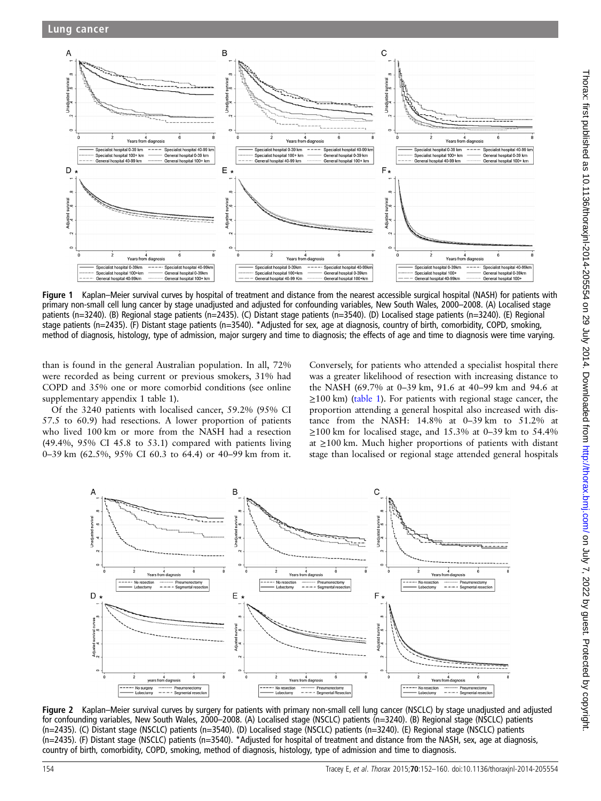<span id="page-2-0"></span>

Figure 1 Kaplan–Meier survival curves by hospital of treatment and distance from the nearest accessible surgical hospital (NASH) for patients with primary non-small cell lung cancer by stage unadjusted and adjusted for confounding variables, New South Wales, 2000–2008. (A) Localised stage patients (n=3240). (B) Regional stage patients (n=2435). (C) Distant stage patients (n=3540). (D) Localised stage patients (n=3240). (E) Regional stage patients (n=2435). (F) Distant stage patients (n=3540). \*Adjusted for sex, age at diagnosis, country of birth, comorbidity, COPD, smoking, method of diagnosis, histology, type of admission, major surgery and time to diagnosis; the effects of age and time to diagnosis were time varying.

than is found in the general Australian population. In all, 72% were recorded as being current or previous smokers, 31% had COPD and 35% one or more comorbid conditions (see online supplementary appendix 1 table 1).

Of the 3240 patients with localised cancer, 59.2% (95% CI 57.5 to 60.9) had resections. A lower proportion of patients who lived 100 km or more from the NASH had a resection (49.4%, 95% CI 45.8 to 53.1) compared with patients living 0–39 km (62.5%, 95% CI 60.3 to 64.4) or 40–99 km from it.

Conversely, for patients who attended a specialist hospital there was a greater likelihood of resection with increasing distance to the NASH (69.7% at 0–39 km, 91.6 at 40–99 km and 94.6 at  $\geq$ 100 km) [\(table 1\)](#page-3-0). For patients with regional stage cancer, the proportion attending a general hospital also increased with distance from the NASH: 14.8% at 0–39 km to 51.2% at  $\geq$ 100 km for localised stage, and 15.3% at 0–39 km to 54.4% at ≥100 km. Much higher proportions of patients with distant stage than localised or regional stage attended general hospitals



Figure 2 Kaplan–Meier survival curves by surgery for patients with primary non-small cell lung cancer (NSCLC) by stage unadjusted and adjusted for confounding variables, New South Wales, 2000–2008. (A) Localised stage (NSCLC) patients (n=3240). (B) Regional stage (NSCLC) patients (n=2435). (C) Distant stage (NSCLC) patients (n=3540). (D) Localised stage (NSCLC) patients (n=3240). (E) Regional stage (NSCLC) patients (n=2435). (F) Distant stage (NSCLC) patients (n=3540). \*Adjusted for hospital of treatment and distance from the NASH, sex, age at diagnosis, country of birth, comorbidity, COPD, smoking, method of diagnosis, histology, type of admission and time to diagnosis.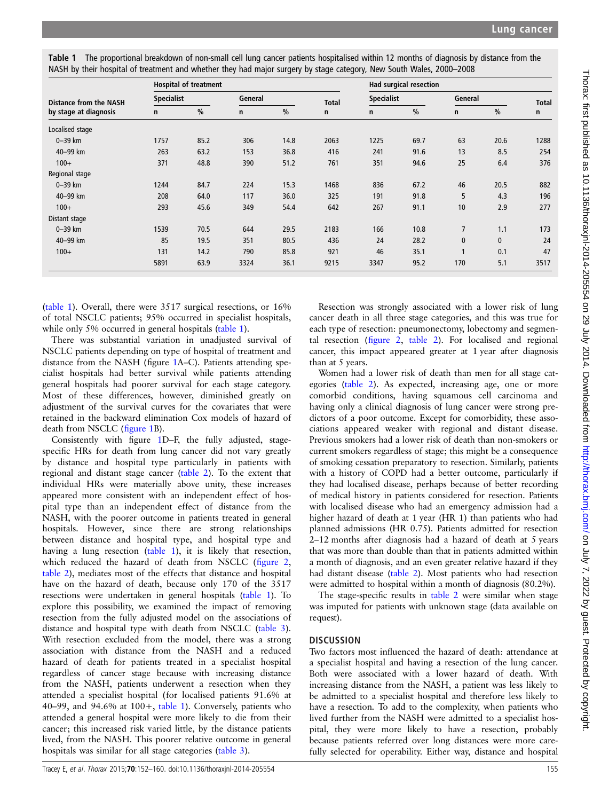|                                                 |                   | <b>Hospital of treatment</b> |              |               | Had surgical resection |                   |      |                |      |              |  |
|-------------------------------------------------|-------------------|------------------------------|--------------|---------------|------------------------|-------------------|------|----------------|------|--------------|--|
| Distance from the NASH<br>by stage at diagnosis | <b>Specialist</b> |                              | General      |               | <b>Total</b>           | <b>Specialist</b> |      | General        |      | <b>Total</b> |  |
|                                                 | n                 | $\%$                         | $\mathsf{n}$ | $\frac{0}{0}$ | n                      | n                 | $\%$ | n              | $\%$ | n            |  |
| Localised stage                                 |                   |                              |              |               |                        |                   |      |                |      |              |  |
| $0-39$ km                                       | 1757              | 85.2                         | 306          | 14.8          | 2063                   | 1225              | 69.7 | 63             | 20.6 | 1288         |  |
| 40-99 km                                        | 263               | 63.2                         | 153          | 36.8          | 416                    | 241               | 91.6 | 13             | 8.5  | 254          |  |
| $100+$                                          | 371               | 48.8                         | 390          | 51.2          | 761                    | 351               | 94.6 | 25             | 6.4  | 376          |  |
| Regional stage                                  |                   |                              |              |               |                        |                   |      |                |      |              |  |
| $0-39$ km                                       | 1244              | 84.7                         | 224          | 15.3          | 1468                   | 836               | 67.2 | 46             | 20.5 | 882          |  |
| 40-99 km                                        | 208               | 64.0                         | 117          | 36.0          | 325                    | 191               | 91.8 | 5              | 4.3  | 196          |  |
| $100+$                                          | 293               | 45.6                         | 349          | 54.4          | 642                    | 267               | 91.1 | 10             | 2.9  | 277          |  |
| Distant stage                                   |                   |                              |              |               |                        |                   |      |                |      |              |  |
| $0-39$ km                                       | 1539              | 70.5                         | 644          | 29.5          | 2183                   | 166               | 10.8 | $\overline{7}$ | 1.1  | 173          |  |
| 40-99 km                                        | 85                | 19.5                         | 351          | 80.5          | 436                    | 24                | 28.2 | $\mathbf{0}$   | 0    | 24           |  |
| $100+$                                          | 131               | 14.2                         | 790          | 85.8          | 921                    | 46                | 35.1 |                | 0.1  | 47           |  |
|                                                 | 5891              | 63.9                         | 3324         | 36.1          | 9215                   | 3347              | 95.2 | 170            | 5.1  | 3517         |  |

<span id="page-3-0"></span>Table 1 The proportional breakdown of non-small cell lung cancer patients hospitalised within 12 months of diagnosis by distance from the NASH by their hospital of treatment and whether they had major surgery by stage category, New South Wales, 2000–2008

(table 1). Overall, there were 3517 surgical resections, or 16% of total NSCLC patients; 95% occurred in specialist hospitals, while only 5% occurred in general hospitals (table 1).

There was substantial variation in unadjusted survival of NSCLC patients depending on type of hospital of treatment and distance from the NASH (figure [1](#page-2-0)A–C). Patients attending specialist hospitals had better survival while patients attending general hospitals had poorer survival for each stage category. Most of these differences, however, diminished greatly on adjustment of the survival curves for the covariates that were retained in the backward elimination Cox models of hazard of death from NSCLC (fi[gure 1](#page-2-0)B).

Consistently with figure [1D](#page-2-0)–F, the fully adjusted, stagespecific HRs for death from lung cancer did not vary greatly by distance and hospital type particularly in patients with regional and distant stage cancer [\(table 2\)](#page-4-0). To the extent that individual HRs were materially above unity, these increases appeared more consistent with an independent effect of hospital type than an independent effect of distance from the NASH, with the poorer outcome in patients treated in general hospitals. However, since there are strong relationships between distance and hospital type, and hospital type and having a lung resection (table 1), it is likely that resection, which reduced the hazard of death from NSCLC (fi[gure 2](#page-2-0), [table 2\)](#page-4-0), mediates most of the effects that distance and hospital have on the hazard of death, because only 170 of the 3517 resections were undertaken in general hospitals (table 1). To explore this possibility, we examined the impact of removing resection from the fully adjusted model on the associations of distance and hospital type with death from NSCLC ([table 3](#page-6-0)). With resection excluded from the model, there was a strong association with distance from the NASH and a reduced hazard of death for patients treated in a specialist hospital regardless of cancer stage because with increasing distance from the NASH, patients underwent a resection when they attended a specialist hospital (for localised patients 91.6% at 40–99, and 94.6% at 100+, table 1). Conversely, patients who attended a general hospital were more likely to die from their cancer; this increased risk varied little, by the distance patients lived, from the NASH. This poorer relative outcome in general hospitals was similar for all stage categories [\(table 3\)](#page-6-0).

Resection was strongly associated with a lower risk of lung cancer death in all three stage categories, and this was true for each type of resection: pneumonectomy, lobectomy and segmental resection (fi[gure 2](#page-2-0), [table 2\)](#page-4-0). For localised and regional cancer, this impact appeared greater at 1 year after diagnosis than at 5 years.

Women had a lower risk of death than men for all stage categories ([table 2](#page-4-0)). As expected, increasing age, one or more comorbid conditions, having squamous cell carcinoma and having only a clinical diagnosis of lung cancer were strong predictors of a poor outcome. Except for comorbidity, these associations appeared weaker with regional and distant disease. Previous smokers had a lower risk of death than non-smokers or current smokers regardless of stage; this might be a consequence of smoking cessation preparatory to resection. Similarly, patients with a history of COPD had a better outcome, particularly if they had localised disease, perhaps because of better recording of medical history in patients considered for resection. Patients with localised disease who had an emergency admission had a higher hazard of death at 1 year (HR 1) than patients who had planned admissions (HR 0.75). Patients admitted for resection 2–12 months after diagnosis had a hazard of death at 5 years that was more than double than that in patients admitted within a month of diagnosis, and an even greater relative hazard if they had distant disease [\(table 2](#page-4-0)). Most patients who had resection were admitted to hospital within a month of diagnosis (80.2%).

The stage-specific results in [table 2](#page-4-0) were similar when stage was imputed for patients with unknown stage (data available on request).

# **DISCUSSION**

Two factors most influenced the hazard of death: attendance at a specialist hospital and having a resection of the lung cancer. Both were associated with a lower hazard of death. With increasing distance from the NASH, a patient was less likely to be admitted to a specialist hospital and therefore less likely to have a resection. To add to the complexity, when patients who lived further from the NASH were admitted to a specialist hospital, they were more likely to have a resection, probably because patients referred over long distances were more carefully selected for operability. Either way, distance and hospital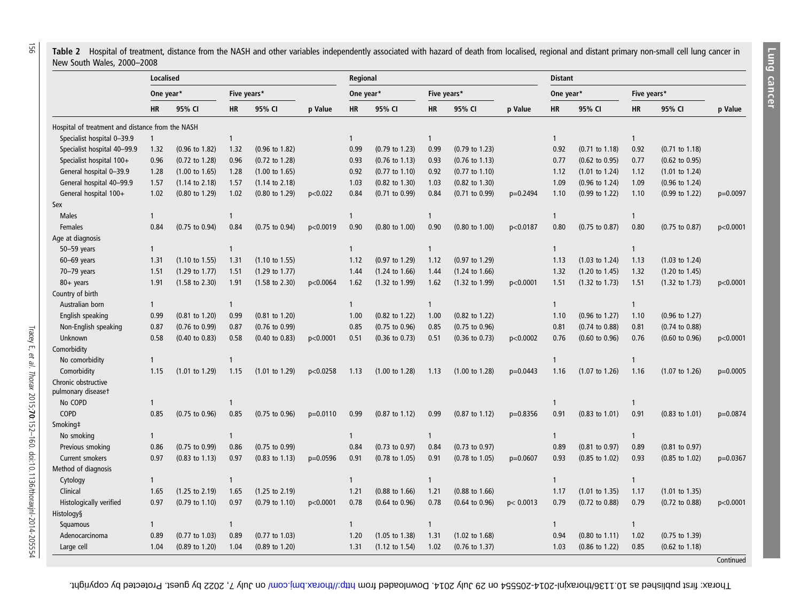Lung cancer Lung cancer

Table 2 Hospital of treatment, distance from the NASH and other variables independently associated with hazard of death from localised, regional and distant primary non-small cell lung cancer in New South Wales, 2000–2008

|                                                  | <b>Localised</b> |                           |                |                           | Regional   |              |                           |              | <b>Distant</b>            |            |              |                           |              |                           |            |
|--------------------------------------------------|------------------|---------------------------|----------------|---------------------------|------------|--------------|---------------------------|--------------|---------------------------|------------|--------------|---------------------------|--------------|---------------------------|------------|
|                                                  | One year*        |                           | Five years*    |                           |            | One year*    |                           | Five years*  |                           |            | One year*    |                           | Five years*  |                           |            |
|                                                  | <b>HR</b>        | 95% CI                    | <b>HR</b>      | 95% CI                    | p Value    | <b>HR</b>    | 95% CI                    | <b>HR</b>    | 95% CI                    | p Value    | HR           | 95% CI                    | <b>HR</b>    | 95% CI                    | p Value    |
| Hospital of treatment and distance from the NASH |                  |                           |                |                           |            |              |                           |              |                           |            |              |                           |              |                           |            |
| Specialist hospital 0-39.9                       | $\mathbf{1}$     |                           | $\mathbf{1}$   |                           |            | $\mathbf{1}$ |                           | 1            |                           |            | $\mathbf{1}$ |                           | $\mathbf{1}$ |                           |            |
| Specialist hospital 40-99.9                      | 1.32             | $(0.96 \text{ to } 1.82)$ | 1.32           | $(0.96 \text{ to } 1.82)$ |            | 0.99         | $(0.79 \text{ to } 1.23)$ | 0.99         | $(0.79 \text{ to } 1.23)$ |            | 0.92         | $(0.71$ to $1.18)$        | 0.92         | $(0.71$ to $1.18)$        |            |
| Specialist hospital 100+                         | 0.96             | $(0.72$ to 1.28)          | 0.96           | $(0.72 \text{ to } 1.28)$ |            | 0.93         | $(0.76 \text{ to } 1.13)$ | 0.93         | $(0.76 \text{ to } 1.13)$ |            | 0.77         | $(0.62 \text{ to } 0.95)$ | 0.77         | $(0.62 \text{ to } 0.95)$ |            |
| General hospital 0-39.9                          | 1.28             | $(1.00 \text{ to } 1.65)$ | 1.28           | $(1.00 \text{ to } 1.65)$ |            | 0.92         | $(0.77$ to $1.10)$        | 0.92         | $(0.77$ to $1.10)$        |            | 1.12         | $(1.01 \text{ to } 1.24)$ | 1.12         | $(1.01$ to $1.24)$        |            |
| General hospital 40-99.9                         | 1.57             | $(1.14 \text{ to } 2.18)$ | 1.57           | $(1.14 \text{ to } 2.18)$ |            | 1.03         | $(0.82 \text{ to } 1.30)$ | 1.03         | $(0.82 \text{ to } 1.30)$ |            | 1.09         | (0.96 to 1.24)            | 1.09         | $(0.96 \text{ to } 1.24)$ |            |
| General hospital 100+                            | 1.02             | $(0.80 \text{ to } 1.29)$ | 1.02           | $(0.80 \text{ to } 1.29)$ | p<0.022    | 0.84         | $(0.71$ to $0.99)$        | 0.84         | $(0.71$ to $0.99)$        | p=0.2494   | 1.10         | $(0.99 \text{ to } 1.22)$ | 1.10         | $(0.99 \text{ to } 1.22)$ | p=0.0097   |
| Sex                                              |                  |                           |                |                           |            |              |                           |              |                           |            |              |                           |              |                           |            |
| Males                                            | $\mathbf{1}$     |                           | $\overline{1}$ |                           |            | $\mathbf{1}$ |                           | $\mathbf{1}$ |                           |            | $\mathbf{1}$ |                           | $\mathbf{1}$ |                           |            |
| <b>Females</b>                                   | 0.84             | $(0.75$ to $0.94)$        | 0.84           | $(0.75$ to $0.94)$        | p<0.0019   | 0.90         | $(0.80 \text{ to } 1.00)$ | 0.90         | $(0.80 \text{ to } 1.00)$ | p<0.0187   | 0.80         | $(0.75$ to $0.87)$        | 0.80         | $(0.75 \text{ to } 0.87)$ | p<0.0001   |
| Age at diagnosis                                 |                  |                           |                |                           |            |              |                           |              |                           |            |              |                           |              |                           |            |
| 50-59 years                                      | $\mathbf{1}$     |                           | $\mathbf{1}$   |                           |            | $\mathbf{1}$ |                           | 1            |                           |            | $\mathbf{1}$ |                           | $\mathbf{1}$ |                           |            |
| $60 - 69$ years                                  | 1.31             | $(1.10 \text{ to } 1.55)$ | 1.31           | $(1.10 \text{ to } 1.55)$ |            | 1.12         | (0.97 to 1.29)            | 1.12         | $(0.97$ to 1.29)          |            | 1.13         | $(1.03 \text{ to } 1.24)$ | 1.13         | $(1.03 \text{ to } 1.24)$ |            |
| 70-79 years                                      | 1.51             | $(1.29 \text{ to } 1.77)$ | 1.51           | $(1.29 \text{ to } 1.77)$ |            | 1.44         | $(1.24 \text{ to } 1.66)$ | 1.44         | $(1.24 \text{ to } 1.66)$ |            | 1.32         | $(1.20 \text{ to } 1.45)$ | 1.32         | $(1.20 \text{ to } 1.45)$ |            |
| $80+$ years                                      | 1.91             | $(1.58 \text{ to } 2.30)$ | 1.91           | $(1.58 \text{ to } 2.30)$ | p<0.0064   | 1.62         | $(1.32 \text{ to } 1.99)$ | 1.62         | $(1.32 \text{ to } 1.99)$ | p<0.0001   | 1.51         | $(1.32 \text{ to } 1.73)$ | 1.51         | $(1.32 \text{ to } 1.73)$ | p<0.0001   |
| Country of birth                                 |                  |                           |                |                           |            |              |                           |              |                           |            |              |                           |              |                           |            |
| Australian born                                  | $\mathbf{1}$     |                           | $\mathbf{1}$   |                           |            | $\mathbf{1}$ |                           | $\mathbf{1}$ |                           |            | $\mathbf{1}$ |                           | $\mathbf{1}$ |                           |            |
| English speaking                                 | 0.99             | $(0.81 \text{ to } 1.20)$ | 0.99           | $(0.81 \text{ to } 1.20)$ |            | 1.00         | $(0.82 \text{ to } 1.22)$ | 1.00         | $(0.82 \text{ to } 1.22)$ |            | 1.10         | $(0.96 \text{ to } 1.27)$ | 1.10         | $(0.96 \text{ to } 1.27)$ |            |
| Non-English speaking                             | 0.87             | $(0.76 \text{ to } 0.99)$ | 0.87           | $(0.76 \text{ to } 0.99)$ |            | 0.85         | $(0.75 \text{ to } 0.96)$ | 0.85         | $(0.75$ to $0.96)$        |            | 0.81         | (0.74 to 0.88)            | 0.81         | $(0.74 \text{ to } 0.88)$ |            |
| Unknown                                          | 0.58             | $(0.40 \text{ to } 0.83)$ | 0.58           | $(0.40 \text{ to } 0.83)$ | p<0.0001   | 0.51         | $(0.36 \text{ to } 0.73)$ | 0.51         | $(0.36 \text{ to } 0.73)$ | p<0.0002   | 0.76         | $(0.60 \text{ to } 0.96)$ | 0.76         | $(0.60 \text{ to } 0.96)$ | p<0.0001   |
| Comorbidity                                      |                  |                           |                |                           |            |              |                           |              |                           |            |              |                           |              |                           |            |
| No comorbidity                                   | $\mathbf{1}$     |                           | $\overline{1}$ |                           |            |              |                           |              |                           |            | $\mathbf{1}$ |                           | $\mathbf{1}$ |                           |            |
| Comorbidity                                      | 1.15             | $(1.01 \text{ to } 1.29)$ | 1.15           | $(1.01 \text{ to } 1.29)$ | p<0.0258   | 1.13         | $(1.00 \text{ to } 1.28)$ | 1.13         | $(1.00 \text{ to } 1.28)$ | p=0.0443   | 1.16         | $(1.07 \text{ to } 1.26)$ | 1.16         | $(1.07 \text{ to } 1.26)$ | $p=0.0005$ |
| Chronic obstructive<br>pulmonary diseaset        |                  |                           |                |                           |            |              |                           |              |                           |            |              |                           |              |                           |            |
| No COPD                                          | $\mathbf{1}$     |                           | $\mathbf{1}$   |                           |            |              |                           |              |                           |            | $\mathbf{1}$ |                           | $\mathbf{1}$ |                           |            |
| COPD                                             | 0.85             | $(0.75$ to $0.96)$        | 0.85           | $(0.75$ to $0.96)$        | $p=0.0110$ | 0.99         | $(0.87 \text{ to } 1.12)$ | 0.99         | $(0.87 \text{ to } 1.12)$ | p=0.8356   | 0.91         | $(0.83 \text{ to } 1.01)$ | 0.91         | $(0.83 \text{ to } 1.01)$ | $p=0.0874$ |
| Smoking‡                                         |                  |                           |                |                           |            |              |                           |              |                           |            |              |                           |              |                           |            |
| No smoking                                       | $\mathbf{1}$     |                           | $\mathbf{1}$   |                           |            | $\mathbf{1}$ |                           | 1            |                           |            | $\mathbf{1}$ |                           | $\mathbf{1}$ |                           |            |
| Previous smoking                                 | 0.86             | (0.75 to 0.99)            | 0.86           | $(0.75$ to $0.99)$        |            | 0.84         | $(0.73$ to $0.97)$        | 0.84         | $(0.73$ to $0.97)$        |            | 0.89         | $(0.81$ to $0.97)$        | 0.89         | $(0.81$ to $0.97)$        |            |
| Current smokers                                  | 0.97             | $(0.83 \text{ to } 1.13)$ | 0.97           | $(0.83 \text{ to } 1.13)$ | $p=0.0596$ | 0.91         | $(0.78 \text{ to } 1.05)$ | 0.91         | $(0.78 \text{ to } 1.05)$ | $p=0.0607$ | 0.93         | $(0.85 \text{ to } 1.02)$ | 0.93         | $(0.85 \text{ to } 1.02)$ | $p=0.0367$ |
| Method of diagnosis                              |                  |                           |                |                           |            |              |                           |              |                           |            |              |                           |              |                           |            |
| Cytology                                         | $\mathbf{1}$     |                           | $\mathbf{1}$   |                           |            | $\mathbf{1}$ |                           | 1            |                           |            | $\mathbf{1}$ |                           | $\mathbf{1}$ |                           |            |
| Clinical                                         | 1.65             | $(1.25$ to 2.19)          | 1.65           | $(1.25 \text{ to } 2.19)$ |            | 1.21         | $(0.88 \text{ to } 1.66)$ | 1.21         | $(0.88 \text{ to } 1.66)$ |            | 1.17         | $(1.01 \text{ to } 1.35)$ | 1.17         | $(1.01 \text{ to } 1.35)$ |            |
| <b>Histologically verified</b>                   | 0.97             | $(0.79 \text{ to } 1.10)$ | 0.97           | $(0.79 \text{ to } 1.10)$ | p<0.0001   | 0.78         | $(0.64 \text{ to } 0.96)$ | 0.78         | $(0.64 \text{ to } 0.96)$ | p< 0.0013  | 0.79         | (0.72 to 0.88)            | 0.79         | $(0.72 \text{ to } 0.88)$ | p<0.0001   |
| Histology§                                       |                  |                           |                |                           |            |              |                           |              |                           |            |              |                           |              |                           |            |
| Squamous                                         | $\mathbf{1}$     |                           | $\mathbf{1}$   |                           |            | $\mathbf{1}$ |                           | $\mathbf{1}$ |                           |            | $\mathbf{1}$ |                           | $\mathbf{1}$ |                           |            |
| Adenocarcinoma                                   | 0.89             | $(0.77$ to $1.03)$        | 0.89           | $(0.77$ to $1.03)$        |            | 1.20         | $(1.05 \text{ to } 1.38)$ | 1.31         | $(1.02 \text{ to } 1.68)$ |            | 0.94         | $(0.80 \text{ to } 1.11)$ | 1.02         | (0.75 to 1.39)            |            |
| Large cell                                       | 1.04             | $(0.89 \text{ to } 1.20)$ | 1.04           | $(0.89 \text{ to } 1.20)$ |            | 1.31         | $(1.12 \text{ to } 1.54)$ | 1.02         | $(0.76 \text{ to } 1.37)$ |            | 1.03         | $(0.86 \text{ to } 1.22)$ | 0.85         | $(0.62 \text{ to } 1.18)$ |            |
|                                                  |                  |                           |                |                           |            |              |                           |              |                           |            |              |                           |              |                           | Continued  |

Thorax: first beroted by 1361-1012-2022 by Support Boulo Buest published as 10.01 Apply and the Aubrit. Protected by copyright.

<span id="page-4-0"></span>156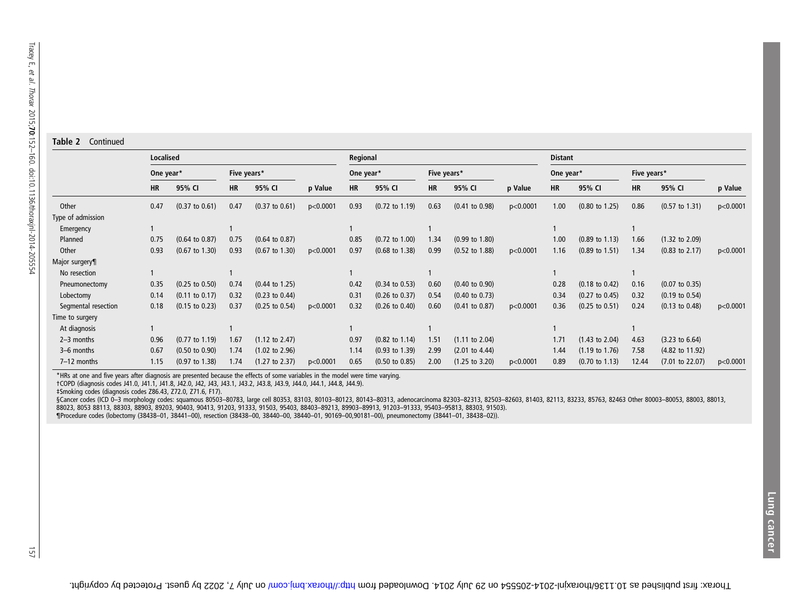Table 2 Continued

7–12 months

#### Localisedd and the control of the control of the control of the control of the control of the control of the control of One year\* Five years\* One year\* Five years\* One year\* Five years\* HR 95% CI HR 95% CI p Value HR 95% CI HR 95% CI p Value HR 95% CI HR 95% CI p Value **Other**  0.47 (0.37 to 0.61) 0.47 (0.37 to 0.61) p<0.0001 0.93 (0.72 to 1.19) 0.63 (0.41 to 0.98) p<0.0001 1.00 (0.80 to 1.25) 0.86 (0.57 to 1.31) p<0.0001 Type of admission Emergency the contract of the contract of the contract of the contract of the contract of the contract of the contract of the contract of the contract of the contract of the contract of the contract of the contract of the Planned 0.75 (0.64 to 0.87) 0.75 (0.64 to 0.87) 0.85 (0.72 to 1.00) 1.34 (0.99 to 1.80) 1.00 (0.89 to 1.13) 1.66 (1.32 to 2.09) **Other**  0.93 (0.67 to 1.30) 0.93 (0.67 to 1.30) p<0.0001 0.97 (0.68 to 1.38) 0.99 (0.52 to 1.88) p<0.0001 1.16 (0.89 to 1.51) 1.34 (0.83 to 2.17) p<0.0001 Major surgery¶ No resection 1 1 1 1 1 1 Pneumonectomy 0.35 (0.25 to 0.50) 0.74 (0.44 to 1.25) 0.42 (0.34 to 0.53) 0.60 (0.40 to 0.90) 0.28 (0.18 to 0.42) 0.16 (0.07 to 0.35) Lobectomy 0.14 (0.11 to 0.17) 0.32 (0.23 to 0.44) 0.31 (0.26 to 0.37) 0.54 (0.40 to 0.73) 0.34 (0.27 to 0.45) 0.32 (0.19 to 0.54) Segmental resection 0.18 (0.15 to 0.23) 0.37 (0.25 to 0.54) p<0.0001 0.32 (0.26 to 0.40) 0.60 (0.41 to 0.87) p<0.0001 0.36 (0.25 to 0.51) 0.24 (0.13 to 0.48) p<0.0001 Time to surgery At diagnosis 1 1 1 1 1 1 2–3 months 0.96 (0.77 to 1.19) 1.67 (1.12 to 2.47) 0.97 (0.82 to 1.14) 1.51 (1.11 to 2.04) 1.71 (1.43 to 2.04) 4.63 (3.23 to 6.64) 3–6 months 0.67 (0.50 to 0.90) 1.74 (1.02 to 2.96) 1.14 (0.93 to 1.39) 2.99 (2.01 to 4.44) 1.44 (1.19 to 1.76) 7.58 (4.82 to 11.92) 1.15 (0.97 to 1.38) 1.74 (1.27 to 2.37) p<0.0001 0.65 (0.50 to 0.85) 2.00 (1.25 to 3.20) p<0.0001 0.89 (0.70 to 1.13) 12.44 (7.01 to 22.07) p<0.0001

\*HRs at one and five years after diagnosis are presented because the effects of some variables in the model were time varying.

†COPD (diagnosis codes J41.0, J41.1, J41.8, J42.0, J42, J43, J43.1, J43.2, J43.8, J43.9, J44.0, J44.1, J44.8, J44.9).

‡Smoking codes (diagnosis codes Z86.43, Z72.0, Z71.6, F17).

§Cancer codes (ICD 0–3 morphology codes: squamous 80503–80783, large cell 80353, 83103, 80103–80123, 80143–80313, adenocarcinoma 82303–82313, 82503–82603, 81403, 82113, 83233, 85763, 82463 Other 80003–80053, 88003, 88013,<br> ¶Procedure codes (lobectomy (38438–01, 38441–00), resection (38438–00, 38440–00, 38440–01, 90169–00,90181–00), pneumonectomy (38441–01, 38438–02)).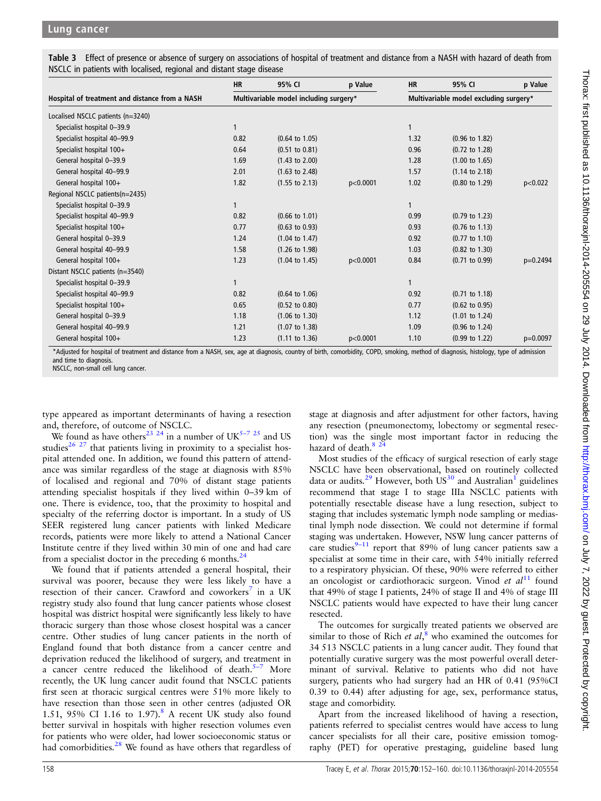<span id="page-6-0"></span>

| Table 3 Effect of presence or absence of surgery on associations of hospital of treatment and distance from a NASH with hazard of death from |  |  |  |  |  |
|----------------------------------------------------------------------------------------------------------------------------------------------|--|--|--|--|--|
| NSCLC in patients with localised, regional and distant stage disease                                                                         |  |  |  |  |  |

|                                                | <b>HR</b>    | 95% CI                                 | p Value  | HR                                     | 95% CI                    | p Value  |  |
|------------------------------------------------|--------------|----------------------------------------|----------|----------------------------------------|---------------------------|----------|--|
| Hospital of treatment and distance from a NASH |              | Multivariable model including surgery* |          | Multivariable model excluding surgery* |                           |          |  |
| Localised NSCLC patients (n=3240)              |              |                                        |          |                                        |                           |          |  |
| Specialist hospital 0-39.9                     |              |                                        |          | 1                                      |                           |          |  |
| Specialist hospital 40-99.9                    | 0.82         | $(0.64 \text{ to } 1.05)$              |          | 1.32                                   | $(0.96 \text{ to } 1.82)$ |          |  |
| Specialist hospital 100+                       | 0.64         | $(0.51 \text{ to } 0.81)$              |          | 0.96                                   | $(0.72 \text{ to } 1.28)$ |          |  |
| General hospital 0-39.9                        | 1.69         | $(1.43 \text{ to } 2.00)$              |          | 1.28                                   | $(1.00 \text{ to } 1.65)$ |          |  |
| General hospital 40-99.9                       | 2.01         | $(1.63 \text{ to } 2.48)$              |          | 1.57                                   | $(1.14 \text{ to } 2.18)$ |          |  |
| General hospital 100+                          | 1.82         | $(1.55 \text{ to } 2.13)$              | p<0.0001 | 1.02                                   | $(0.80 \text{ to } 1.29)$ | p<0.022  |  |
| Regional NSCLC patients(n=2435)                |              |                                        |          |                                        |                           |          |  |
| Specialist hospital 0-39.9                     | 1            |                                        |          | 1                                      |                           |          |  |
| Specialist hospital 40-99.9                    | 0.82         | $(0.66 \text{ to } 1.01)$              |          | 0.99                                   | $(0.79 \text{ to } 1.23)$ |          |  |
| Specialist hospital 100+                       | 0.77         | $(0.63 \text{ to } 0.93)$              |          | 0.93                                   | $(0.76 \text{ to } 1.13)$ |          |  |
| General hospital 0-39.9                        | 1.24         | $(1.04 \text{ to } 1.47)$              |          | 0.92                                   | $(0.77 \text{ to } 1.10)$ |          |  |
| General hospital 40-99.9                       | 1.58         | $(1.26 \text{ to } 1.98)$              |          | 1.03                                   | $(0.82 \text{ to } 1.30)$ |          |  |
| General hospital 100+                          | 1.23         | $(1.04 \text{ to } 1.45)$              | p<0.0001 | 0.84                                   | $(0.71 \text{ to } 0.99)$ | p=0.2494 |  |
| Distant NSCLC patients (n=3540)                |              |                                        |          |                                        |                           |          |  |
| Specialist hospital 0-39.9                     | $\mathbf{1}$ |                                        |          | 1                                      |                           |          |  |
| Specialist hospital 40-99.9                    | 0.82         | $(0.64 \text{ to } 1.06)$              |          | 0.92                                   | $(0.71$ to $1.18)$        |          |  |
| Specialist hospital 100+                       | 0.65         | $(0.52 \text{ to } 0.80)$              |          | 0.77                                   | $(0.62 \text{ to } 0.95)$ |          |  |
| General hospital 0-39.9                        | 1.18         | $(1.06 \text{ to } 1.30)$              |          | 1.12                                   | $(1.01 \text{ to } 1.24)$ |          |  |
| General hospital 40-99.9                       | 1.21         | $(1.07 \text{ to } 1.38)$              |          | 1.09                                   | $(0.96 \text{ to } 1.24)$ |          |  |
| General hospital 100+                          | 1.23         | $(1.11 \text{ to } 1.36)$              | p<0.0001 | 1.10                                   | $(0.99 \text{ to } 1.22)$ | p=0.0097 |  |

\*Adjusted for hospital of treatment and distance from a NASH, sex, age at diagnosis, country of birth, comorbidity, COPD, smoking, method of diagnosis, histology, type of admission and time to diagnosis.

NSCLC, non-small cell lung cancer.

type appeared as important determinants of having a resection and, therefore, of outcome of NSCLC.

We found as have others<sup>23</sup> <sup>24</sup> in a number of  $UK<sup>5-7</sup>$ <sup>25</sup> and US studies<sup>[26 27](#page-8-0)</sup> that patients living in proximity to a specialist hospital attended one. In addition, we found this pattern of attendance was similar regardless of the stage at diagnosis with 85% of localised and regional and 70% of distant stage patients attending specialist hospitals if they lived within 0–39 km of one. There is evidence, too, that the proximity to hospital and specialty of the referring doctor is important. In a study of US SEER registered lung cancer patients with linked Medicare records, patients were more likely to attend a National Cancer Institute centre if they lived within 30 min of one and had care from a specialist doctor in the preceding 6 months. $^{24}$ 

We found that if patients attended a general hospital, their survival was poorer, because they were less likely to have a resection of their cancer. Crawford and coworkers' in a UK registry study also found that lung cancer patients whose closest hospital was district hospital were significantly less likely to have thoracic surgery than those whose closest hospital was a cancer centre. Other studies of lung cancer patients in the north of England found that both distance from a cancer centre and deprivation reduced the likelihood of surgery, and treatment in a cancer centre reduced the likelihood of death. $5-7$  More recently, the UK lung cancer audit found that NSCLC patients first seen at thoracic surgical centres were 51% more likely to have resection than those seen in other centres (adjusted OR 1.51, 95% CI 1.16 to 1.97).<sup>8</sup> A recent UK study also found better survival in hospitals with higher resection volumes even for patients who were older, had lower socioeconomic status or had comorbidities.<sup>[28](#page-8-0)</sup> We found as have others that regardless of

stage at diagnosis and after adjustment for other factors, having any resection (pneumonectomy, lobectomy or segmental resection) was the single most important factor in reducing the hazard of death.<sup>[8 24](#page-7-0)</sup>

Most studies of the efficacy of surgical resection of early stage NSCLC have been observational, based on routinely collected data or audits.<sup>[29](#page-8-0)</sup> However, both US<sup>30</sup> and Australian<sup>[1](#page-7-0)</sup> guidelines recommend that stage I to stage IIIa NSCLC patients with potentially resectable disease have a lung resection, subject to staging that includes systematic lymph node sampling or mediastinal lymph node dissection. We could not determine if formal staging was undertaken. However, NSW lung cancer patterns of care studies $9-11$  $9-11$  report that 89% of lung cancer patients saw a specialist at some time in their care, with 54% initially referred to a respiratory physician. Of these, 90% were referred to either an oncologist or cardiothoracic surgeon. Vinod et  $al<sup>11</sup>$  $al<sup>11</sup>$  $al<sup>11</sup>$  found that 49% of stage I patients, 24% of stage II and 4% of stage III NSCLC patients would have expected to have their lung cancer resected.

The outcomes for surgically treated patients we observed are similar to those of Rich et  $al$ ,<sup>[8](#page-7-0)</sup> who examined the outcomes for 34 513 NSCLC patients in a lung cancer audit. They found that potentially curative surgery was the most powerful overall determinant of survival. Relative to patients who did not have surgery, patients who had surgery had an HR of 0.41 (95%CI 0.39 to 0.44) after adjusting for age, sex, performance status, stage and comorbidity.

Apart from the increased likelihood of having a resection, patients referred to specialist centres would have access to lung cancer specialists for all their care, positive emission tomography (PET) for operative prestaging, guideline based lung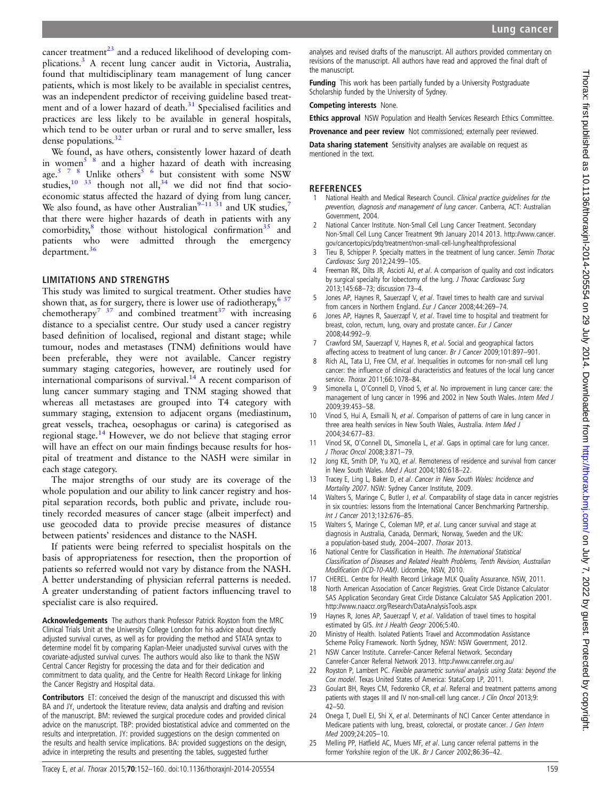<span id="page-7-0"></span>cancer treatment $^{23}$  and a reduced likelihood of developing complications.<sup>3</sup> A recent lung cancer audit in Victoria, Australia, found that multidisciplinary team management of lung cancer patients, which is most likely to be available in specialist centres, was an independent predictor of receiving guideline based treatment and of a lower hazard of death.<sup>31</sup> Specialised facilities and practices are less likely to be available in general hospitals, which tend to be outer urban or rural and to serve smaller, less dense populations.<sup>[32](#page-8-0)</sup>

We found, as have others, consistently lower hazard of death in women<sup>5 8</sup> and a higher hazard of death with increasing age.<sup>578</sup> Unlike others<sup>56</sup> but consistent with some NSW studies, $10^{33}$  though not all, $34$  we did not find that socioeconomic status affected the hazard of dying from lung cancer. We also found, as have other Australian<sup>9–11 [31](#page-8-0)</sup> and UK studies,<sup>7</sup> that there were higher hazards of death in patients with any comorbidity, $8$  those without histological confirmation<sup>[35](#page-8-0)</sup> and patients who were admitted through the emergency department.<sup>[36](#page-8-0)</sup>

#### LIMITATIONS AND STRENGTHS

This study was limited to surgical treatment. Other studies have shown that, as for surgery, there is lower use of radiotherapy,  $6\frac{37}{2}$ chemotherapy<sup>7 [37](#page-8-0)</sup> and combined treatment<sup>[37](#page-8-0)</sup> with increasing distance to a specialist centre. Our study used a cancer registry based definition of localised, regional and distant stage; while tumour, nodes and metastases (TNM) definitions would have been preferable, they were not available. Cancer registry summary staging categories, however, are routinely used for international comparisons of survival.<sup>14</sup> A recent comparison of lung cancer summary staging and TNM staging showed that whereas all metastases are grouped into T4 category with summary staging, extension to adjacent organs (mediastinum, great vessels, trachea, oesophagus or carina) is categorised as regional stage.<sup>14</sup> However, we do not believe that staging error will have an effect on our main findings because results for hospital of treatment and distance to the NASH were similar in each stage category.

The major strengths of our study are its coverage of the whole population and our ability to link cancer registry and hospital separation records, both public and private, include routinely recorded measures of cancer stage (albeit imperfect) and use geocoded data to provide precise measures of distance between patients' residences and distance to the NASH.

If patients were being referred to specialist hospitals on the basis of appropriateness for resection, then the proportion of patients so referred would not vary by distance from the NASH. A better understanding of physician referral patterns is needed. A greater understanding of patient factors influencing travel to specialist care is also required.

Acknowledgements The authors thank Professor Patrick Royston from the MRC Clinical Trials Unit at the University College London for his advice about directly adjusted survival curves, as well as for providing the method and STATA syntax to determine model fit by comparing Kaplan-Meier unadjusted survival curves with the covariate-adjusted survival curves. The authors would also like to thank the NSW Central Cancer Registry for processing the data and for their dedication and commitment to data quality, and the Centre for Health Record Linkage for linking the Cancer Registry and Hospital data.

Contributors ET: conceived the design of the manuscript and discussed this with BA and JY, undertook the literature review, data analysis and drafting and revision of the manuscript. BM: reviewed the surgical procedure codes and provided clinical advice on the manuscript. TBP: provided biostatistical advice and commented on the results and interpretation. JY: provided suggestions on the design commented on the results and health service implications. BA: provided suggestions on the design, advice in interpreting the results and presenting the tables, suggested further

analyses and revised drafts of the manuscript. All authors provided commentary on revisions of the manuscript. All authors have read and approved the final draft of the manuscript.

**Funding** This work has been partially funded by a University Postgraduate Scholarship funded by the University of Sydney.

Competing interests None.

**Ethics approval** NSW Population and Health Services Research Ethics Committee.

**Provenance and peer review** Not commissioned: externally peer reviewed.

Data sharing statement Sensitivity analyses are available on request as mentioned in the text.

#### **REFERENCES**

- **National Health and Medical Research Council.** Clinical practice guidelines for the prevention, diagnosis and management of lung cancer. Canberra, ACT: Australian Government, 2004.
- 2 National Cancer Institute. Non-Small Cell Lung Cancer Treatment. Secondary Non-Small Cell Lung Cancer Treatment 9th January 2014 2013. [http://www.cancer.](http://www.cancer.gov/cancertopics/pdq/treatment/non-small-cell-lung/healthprofessional) [gov/cancertopics/pdq/treatment/non-small-cell-lung/healthprofessional](http://www.cancer.gov/cancertopics/pdq/treatment/non-small-cell-lung/healthprofessional)
- 3 Tieu B, Schipper P. Specialty matters in the treatment of lung cancer. Semin Thorac Cardiovasc Surg 2012;24:99–105.
- 4 Freeman RK, Dilts JR, Ascioti AJ, et al. A comparison of quality and cost indicators by surgical specialty for lobectomy of the lung. J Thorac Cardiovasc Surg 2013;145:68–73; discussion 73–4.
- 5 Jones AP, Haynes R, Sauerzapf V, et al. Travel times to health care and survival from cancers in Northern England. Eur J Cancer 2008;44:269-74.
- 6 Jones AP, Haynes R, Sauerzapf V, et al. Travel time to hospital and treatment for breast, colon, rectum, lung, ovary and prostate cancer. Eur J Cancer 2008;44:992–9.
- 7 Crawford SM, Sauerzapf V, Haynes R, et al. Social and geographical factors affecting access to treatment of lung cancer. Br J Cancer 2009;101:897–901.
- Rich AL, Tata LJ, Free CM, et al. Inequalities in outcomes for non-small cell lung cancer: the influence of clinical characteristics and features of the local lung cancer service. Thorax 2011;66:1078–84.
- Simonella L, O'Connell D, Vinod S, et al. No improvement in lung cancer care: the management of lung cancer in 1996 and 2002 in New South Wales. Intern Med J 2009;39:453–58.
- 10 Vinod S, Hui A, Esmaili N, et al. Comparison of patterns of care in lung cancer in three area health services in New South Wales, Australia. Intern Med J 2004;34:677–83.
- Vinod SK, O'Connell DL, Simonella L, et al. Gaps in optimal care for lung cancer. J Thorac Oncol 2008;3:871–79.
- 12 Jong KE, Smith DP, Yu XQ, et al. Remoteness of residence and survival from cancer in New South Wales. Med J Aust 2004;180:618–22.
- 13 Tracey E, Ling L, Baker D, et al. Cancer in New South Wales: Incidence and Mortality 2007. NSW: Sydney Cancer Institute, 2009.
- 14 Walters S, Maringe C, Butler J, et al. Comparability of stage data in cancer registries in six countries: lessons from the International Cancer Benchmarking Partnership. Int J Cancer 2013;132:676–85.
- 15 Walters S, Maringe C, Coleman MP, et al. Lung cancer survival and stage at diagnosis in Australia, Canada, Denmark, Norway, Sweden and the UK: a population-based study, 2004–2007. Thorax 2013.
- National Centre for Classification in Health. The International Statistical Classification of Diseases and Related Health Problems, Tenth Revision, Australian Modification (ICD-10-AM). Lidcombe, NSW, 2010.
- 17 CHEREL. Centre for Health Record Linkage MLK Quality Assurance. NSW, 2011.
- 18 North American Association of Cancer Registries. Great Circle Distance Calculator SAS Application Secondary Great Circle Distance Calculator SAS Application 2001. <http://www.naaccr.org/Research/DataAnalysisTools.aspx>
- 19 Haynes R, Jones AP, Sauerzapf V, et al. Validation of travel times to hospital estimated by GIS. Int J Health Geogr 2006;5:40.
- 20 Ministry of Health. Isolated Patients Travel and Accommodation Assistance Scheme Policy Framework. North Sydney, NSW: NSW Government, 2012.
- 21 NSW Cancer Institute. Canrefer-Cancer Referral Network. Secondary Canrefer-Cancer Referral Network 2013.<http://www.canrefer.org.au/>
- 22 Royston P, Lambert PC. Flexible parametric survival analysis using Stata: beyond the Cox model. Texas United States of America: StataCorp LP, 2011.
- Goulart BH, Reyes CM, Fedorenko CR, et al. Referral and treatment patterns among patients with stages III and IV non-small-cell lung cancer. J Clin Oncol 2013;9: 42–50.
- 24 Onega T, Duell EJ, Shi X, et al. Determinants of NCI Cancer Center attendance in Medicare patients with lung, breast, colorectal, or prostate cancer. J Gen Intern Med 2009;24:205–10.
- 25 Melling PP, Hatfield AC, Muers MF, et al. Lung cancer referral patterns in the former Yorkshire region of the UK. Br J Cancer 2002;86:36–42.